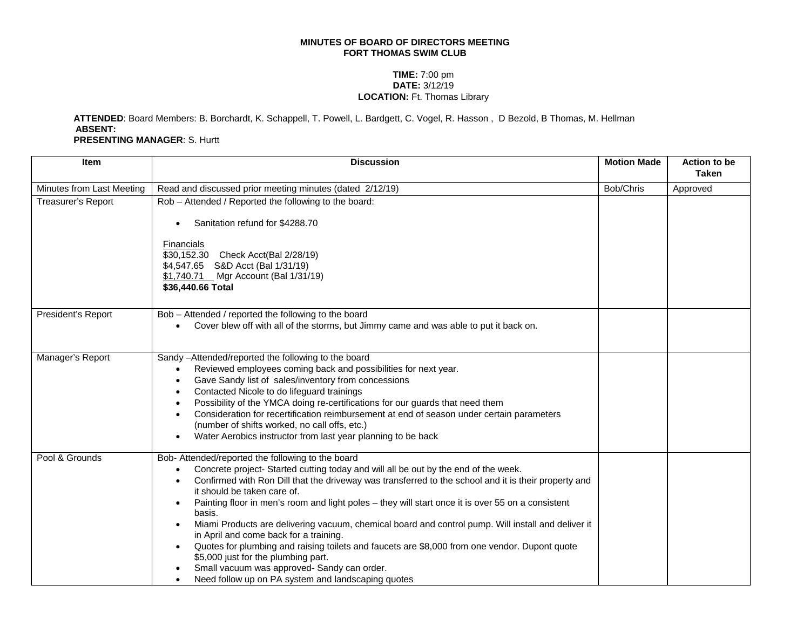## **MINUTES OF BOARD OF DIRECTORS MEETING FORT THOMAS SWIM CLUB**

## **TIME:** 7:00 pm **DATE:** 3/12/19 **LOCATION:** Ft. Thomas Library

**ATTENDED**: Board Members: B. Borchardt, K. Schappell, T. Powell, L. Bardgett, C. Vogel, R. Hasson , D Bezold, B Thomas, M. Hellman **ABSENT: PRESENTING MANAGER**: S. Hurtt

| Item                      | <b>Discussion</b>                                                                                                                                                                                                                                                                                                                                                                                                                                                                                                                                                                                                                                                                                                                                                                                                                  | <b>Motion Made</b> | <b>Action to be</b><br><b>Taken</b> |
|---------------------------|------------------------------------------------------------------------------------------------------------------------------------------------------------------------------------------------------------------------------------------------------------------------------------------------------------------------------------------------------------------------------------------------------------------------------------------------------------------------------------------------------------------------------------------------------------------------------------------------------------------------------------------------------------------------------------------------------------------------------------------------------------------------------------------------------------------------------------|--------------------|-------------------------------------|
| Minutes from Last Meeting | Read and discussed prior meeting minutes (dated 2/12/19)                                                                                                                                                                                                                                                                                                                                                                                                                                                                                                                                                                                                                                                                                                                                                                           | Bob/Chris          | Approved                            |
| Treasurer's Report        | Rob - Attended / Reported the following to the board:<br>Sanitation refund for \$4288.70                                                                                                                                                                                                                                                                                                                                                                                                                                                                                                                                                                                                                                                                                                                                           |                    |                                     |
|                           | <b>Financials</b><br>\$30,152.30 Check Acct(Bal 2/28/19)<br>\$4,547.65 S&D Acct (Bal 1/31/19)<br>\$1,740.71 Mgr Account (Bal 1/31/19)<br>\$36,440.66 Total                                                                                                                                                                                                                                                                                                                                                                                                                                                                                                                                                                                                                                                                         |                    |                                     |
| President's Report        | Bob - Attended / reported the following to the board<br>Cover blew off with all of the storms, but Jimmy came and was able to put it back on.                                                                                                                                                                                                                                                                                                                                                                                                                                                                                                                                                                                                                                                                                      |                    |                                     |
| Manager's Report          | Sandy -Attended/reported the following to the board<br>Reviewed employees coming back and possibilities for next year.<br>Gave Sandy list of sales/inventory from concessions<br>$\bullet$<br>Contacted Nicole to do lifeguard trainings<br>$\bullet$<br>Possibility of the YMCA doing re-certifications for our guards that need them<br>$\bullet$<br>Consideration for recertification reimbursement at end of season under certain parameters<br>(number of shifts worked, no call offs, etc.)<br>Water Aerobics instructor from last year planning to be back                                                                                                                                                                                                                                                                  |                    |                                     |
| Pool & Grounds            | Bob- Attended/reported the following to the board<br>Concrete project- Started cutting today and will all be out by the end of the week.<br>Confirmed with Ron Dill that the driveway was transferred to the school and it is their property and<br>it should be taken care of.<br>Painting floor in men's room and light poles - they will start once it is over 55 on a consistent<br>$\bullet$<br>basis.<br>Miami Products are delivering vacuum, chemical board and control pump. Will install and deliver it<br>$\bullet$<br>in April and come back for a training.<br>Quotes for plumbing and raising toilets and faucets are \$8,000 from one vendor. Dupont quote<br>$\bullet$<br>\$5,000 just for the plumbing part.<br>Small vacuum was approved- Sandy can order.<br>Need follow up on PA system and landscaping quotes |                    |                                     |